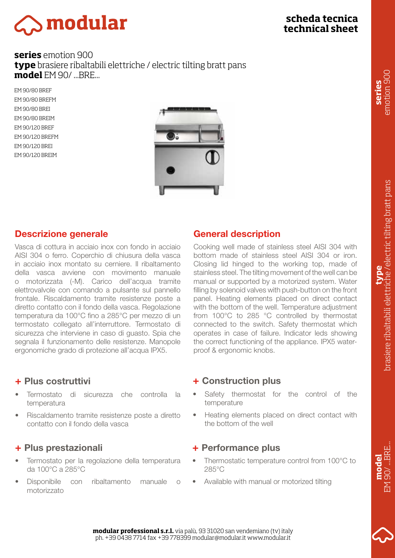# $\sum$ modular

### **scheda tecnica technical sheet**

#### **series** emotion 900 **type** brasiere ribaltabili elettriche / electric tilting bratt pans **model** EM 90/ ...BRE...

EM 90/80 BREF EM 90/80 BREFM EM 90/80 BREI EM 90/80 BREIM EM 90/120 BREF EM 90/120 BREFM EM 90/120 BREI EM 90/120 BREIM



#### Descrizione generale

Vasca di cottura in acciaio inox con fondo in acciaio AISI 304 o ferro. Coperchio di chiusura della vasca in acciaio inox montato su cerniere. Il ribaltamento della vasca avviene con movimento manuale o motorizzata (-M). Carico dell'acqua tramite elettrovalvole con comando a pulsante sul pannello frontale. Riscaldamento tramite resistenze poste a diretto contatto con il fondo della vasca. Regolazione temperatura da 100°C fino a 285°C per mezzo di un termostato collegato all'interruttore. Termostato di sicurezza che interviene in caso di guasto. Spia che segnala il funzionamento delle resistenze. Manopole ergonomiche grado di protezione all'acqua IPX5.

#### + Plus costruttivi

- Termostato di sicurezza che controlla la temperatura
- Riscaldamento tramite resistenze poste a diretto contatto con il fondo della vasca

#### + Plus prestazionali

- Termostato per la regolazione della temperatura da 100°C a 285°C
- Disponibile con ribaltamento manuale o motorizzato

#### General description

Cooking well made of stainless steel AISI 304 with bottom made of stainless steel AISI 304 or iron. Closing lid hinged to the working top, made of stainless steel. The tilting movement of the well can be manual or supported by a motorized system. Water filling by solenoid valves with push-button on the front panel. Heating elements placed on direct contact with the bottom of the well. Temperature adjustment from 100°C to 285 °C controlled by thermostat connected to the switch. Safety thermostat which operates in case of failure. Indicator leds showing the correct functioning of the appliance. IPX5 waterproof & ergonomic knobs.

#### + Construction plus

- Safety thermostat for the control of the temperature
- Heating elements placed on direct contact with the bottom of the well

#### + Performance plus

- Thermostatic temperature control from 100°C to 285°C
- Available with manual or motorized tilting

EM 90/ ...BRE...  $90/$  ... BRE. **model** EM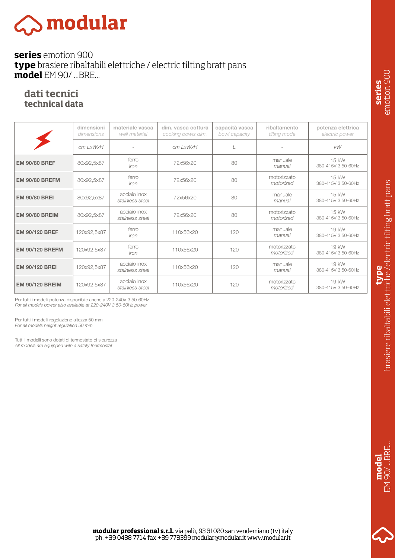# $\gtrsim$  modular

#### **series** emotion 900 **type** brasiere ribaltabili elettriche / electric tilting bratt pans **model** EM 90/ ...BRE...

#### **dati tecnici technical data**

|                        | dimensioni<br>dimensions | materiale vasca<br>well material | dim. vasca cottura<br>cooking bowls dim. | capacità vasca<br>bowl capacity | ribaltamento<br>tilting mode | potenza elettrica<br>electric power |
|------------------------|--------------------------|----------------------------------|------------------------------------------|---------------------------------|------------------------------|-------------------------------------|
|                        | cm LxWxH                 |                                  | cm LxWxH                                 | L                               |                              | kW                                  |
| <b>EM 90/80 BREF</b>   | 80x92,5x87               | ferro<br>iron                    | 72x56x20                                 | 80                              | manuale<br>manual            | 15 kW<br>380-415V 3 50-60Hz         |
| <b>EM 90/80 BREFM</b>  | 80x92,5x87               | ferro<br>iron                    | 72x56x20                                 | 80                              | motorizzato<br>motorized     | 15 kW<br>380-415V 3 50-60Hz         |
| <b>EM 90/80 BREI</b>   | 80x92,5x87               | acciaio inox<br>stainless steel  | 72x56x20                                 | 80                              | manuale<br>manual            | 15 kW<br>380-415V 3 50-60Hz         |
| <b>EM 90/80 BREIM</b>  | 80x92,5x87               | acciaio inox<br>stainless steel  | 72x56x20                                 | 80                              | motorizzato<br>motorized     | 15 kW<br>380-415V 3 50-60Hz         |
| <b>EM 90/120 BREF</b>  | 120x92,5x87              | ferro<br>iron                    | 110x56x20                                | 120                             | manuale<br>manual            | 19 kW<br>380-415V 3 50-60Hz         |
| <b>EM 90/120 BREFM</b> | 120x92,5x87              | ferro<br>iron                    | 110x56x20                                | 120                             | motorizzato<br>motorized     | 19 kW<br>380-415V 3 50-60Hz         |
| <b>EM 90/120 BREI</b>  | 120x92,5x87              | acciaio inox<br>stainless steel  | 110x56x20                                | 120                             | manuale<br>manual            | 19 kW<br>380-415V 3 50-60Hz         |
| <b>EM 90/120 BREIM</b> | 120x92,5x87              | acciaio inox<br>stainless steel  | 110x56x20                                | 120                             | motorizzato<br>motorized     | 19 kW<br>380-415V 3 50-60Hz         |

*For all models power also available at 220-240V 3 50-60Hz power* Per tutti i modelli potenza disponibile anche a 220-240V 3 50-60Hz

Per tutti i modelli regolazione altezza 50 mm *For all models height regulation 50 mm*

Tutti i modelli sono dotati di termostato di sicurezza *All models are equipped with a safety thermostat*



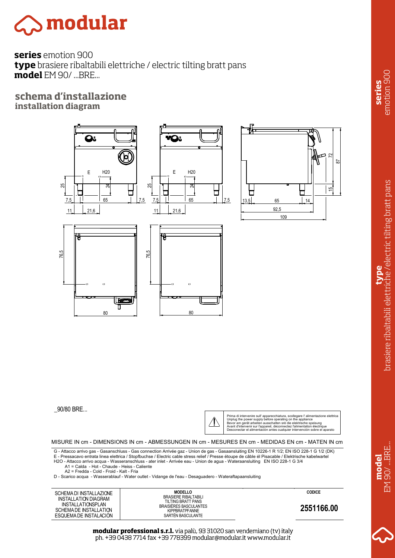## $\mathop{\mathbb{S}}$  modular

**series** emotion 900 **type** brasiere ribaltabili elettriche / electric tilting bratt pans **model** EM 90/ ...BRE...

#### **schema d'installazione installation diagram**



\_90/80 BRE...

 $\Delta$ 

Prima di intervenire sull' apparecchiatura, scollegare l' alimentazione elettrica<br>Unplug the power supply before operating on the appliance<br>Bevor am gerät arbeiten ausschalten srè die elektrische speisung Avant d'intervenir sur l'appareil, dèconnectez l'alimentation èlectrique Desconectar el alimentaciòn antes cualquier intervenciòn sobre el aparato

MISURE IN cm - DIMENSIONS IN cm - ABMESSUNGEN IN cm - MESURES EN cm - MEDIDAS EN cm - MATEN IN cm

G - Attacco arrivo gas - Gasanschluss - Gas connection Arrivée gaz - Union de gas - Gasaansluiting EN 10226-1 R 1/2; EN ISO 228-1 G 1/2 (DK)<br>E - Pressacavo entrata linea elettrica / Stopfbuchse / Electric cable stress reli H2O - Attacco arrivo acqua - Wasseranschluss - ater inlet - Arrivée eau - Union de agua - Wateraansluiting EN ISO 228-1 G 3/4

A1 = Calda - Hot - Chaude - Heiss - Caliente A2 = Fredda - Cold - Froid - Kalt - Fria

D - Scarico acqua - Wasserablauf - Water outlet - Vidange de l'eau - Desaguadero - Wateraftapaansluiting

SCHEMA DI INSTALLAZIONE **MODELLO** INSTALLATION DIAGRAM INSTALLATIONSPLAN SCHEMA DE INSTALLATION ESQUEMA DE INSTALACIÓN

BRASIERE RIBALTABILI TILTING BRATT PANS BRAISIÈRES BASCULANTES KIPPBRATPFANNE SARTÉN BASCULANTE

19/11/2014 **CODICE**

**2551166.00**

**modular professional s.r.l.** via palù, 93 31020 san vendemiano (tv) italy ph. +39 0438 7714 fax +39 778399 modular@modular.it www.modular.it